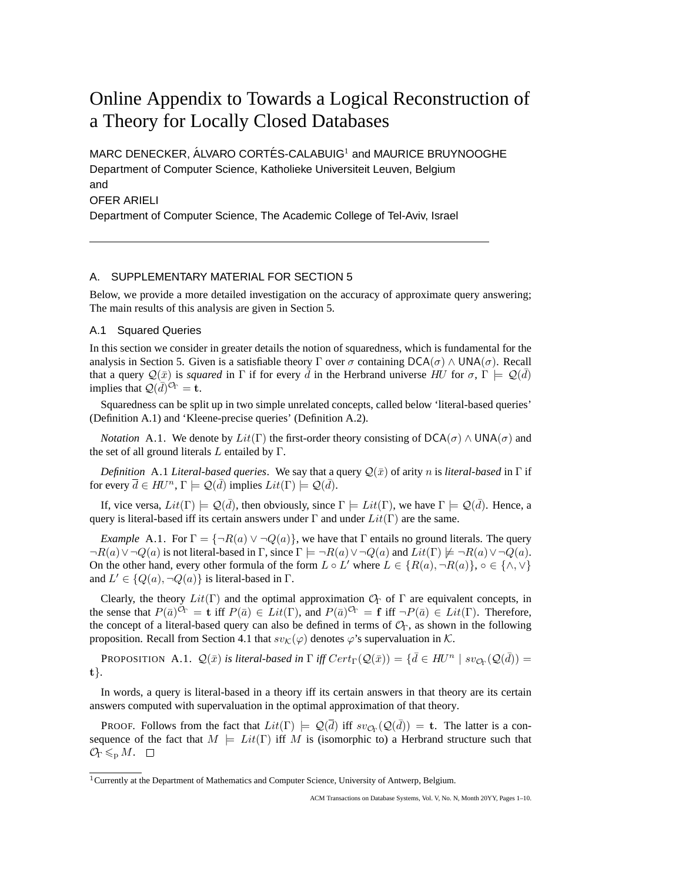# Online Appendix to Towards a Logical Reconstruction of a Theory for Locally Closed Databases

MARC DENECKER, ÁLVARO CORTÉS-CALABUIG<sup>1</sup> and MAURICE BRUYNOOGHE Department of Computer Science, Katholieke Universiteit Leuven, Belgium and OFER ARIELI Department of Computer Science, The Academic College of Tel-Aviv, Israel

# A. SUPPLEMENTARY MATERIAL FOR SECTION 5

Below, we provide a more detailed investigation on the accuracy of approximate query answering; The main results of this analysis are given in Section 5.

## A.1 Squared Queries

In this section we consider in greater details the notion of squaredness, which is fundamental for the analysis in Section 5. Given is a satisfiable theory Γ over  $\sigma$  containing  $DCA(\sigma) \wedge UNA(\sigma)$ . Recall that a query  $\mathcal{Q}(\bar{x})$  is *squared* in  $\Gamma$  if for every  $\bar{d}$  in the Herbrand universe  $H\dot{U}$  for  $\sigma$ ,  $\Gamma \models \mathcal{Q}(\bar{d})$ implies that  $\mathcal{Q}(\bar{d})^{\mathcal{O}_{\Gamma}} = \mathbf{t}$ .

Squaredness can be split up in two simple unrelated concepts, called below 'literal-based queries' (Definition A.1) and 'Kleene-precise queries' (Definition A.2).

*Notation* A.1. We denote by  $Lit(T)$  the first-order theory consisting of DCA( $\sigma$ )  $\land$  UNA( $\sigma$ ) and the set of all ground literals  $L$  entailed by  $\Gamma$ .

*Definition* A.1 *Literal-based queries*. We say that a query  $\mathcal{Q}(\bar{x})$  of arity n is *literal-based* in  $\Gamma$  if for every  $\overline{d} \in HU^n$ ,  $\Gamma \models \mathcal{Q}(\overline{d})$  implies  $Lit(\Gamma) \models \mathcal{Q}(\overline{d})$ .

If, vice versa,  $Lit(\Gamma) \models \mathcal{Q}(\bar{d})$ , then obviously, since  $\Gamma \models Lit(\Gamma)$ , we have  $\Gamma \models \mathcal{Q}(\bar{d})$ . Hence, a query is literal-based iff its certain answers under  $\Gamma$  and under  $Lit(\Gamma)$  are the same.

*Example* A.1. For  $\Gamma = \{\neg R(a) \lor \neg Q(a)\}\$ , we have that  $\Gamma$  entails no ground literals. The query  $\neg R(a) \vee \neg Q(a)$  is not literal-based in  $\Gamma$ , since  $\Gamma \models \neg R(a) \vee \neg Q(a)$  and  $Lit(\Gamma) \not\models \neg R(a) \vee \neg Q(a)$ . On the other hand, every other formula of the form  $L \circ L'$  where  $L \in \{R(a), \neg R(a)\}\$ ,  $\circ \in \{\wedge, \vee\}$ and  $L' \in \{Q(a), \neg Q(a)\}\$ is literal-based in  $\Gamma$ .

Clearly, the theory  $Lit(T)$  and the optimal approximation  $\mathcal{O}_\Gamma$  of  $\Gamma$  are equivalent concepts, in the sense that  $P(\bar{a})^{C_{\Gamma}} = \mathbf{t}$  iff  $P(\bar{a}) \in Lit(\Gamma)$ , and  $P(\bar{a})^{C_{\Gamma}} = \mathbf{f}$  iff  $\neg P(\bar{a}) \in Lit(\Gamma)$ . Therefore, the concept of a literal-based query can also be defined in terms of  $\mathcal{O}_\Gamma$ , as shown in the following proposition. Recall from Section 4.1 that  $sv_{\mathcal{K}}(\varphi)$  denotes  $\varphi$ 's supervaluation in  $\mathcal{K}$ .

**PROPOSITION** A.1.  $\mathcal{Q}(\bar{x})$  *is literal-based in*  $\Gamma$  *iff*  $Cert_{\Gamma}(\mathcal{Q}(\bar{x})) = {\{\bar{d} \in HU^n \mid sv_{\mathcal{O}_{\Gamma}}(\mathcal{Q}(\bar{d})) = \{\bar{d} \in HU^n \mid sv_{\mathcal{O}_{\Gamma}}(\mathcal{Q}(\bar{d})) = \{\bar{d} \in HU^n \mid sv_{\mathcal{O}_{\Gamma}}(\mathcal{Q}(\bar{d}))\}}$ t}*.*

In words, a query is literal-based in a theory iff its certain answers in that theory are its certain answers computed with supervaluation in the optimal approximation of that theory.

PROOF. Follows from the fact that  $Lit(\Gamma) \models \mathcal{Q}(\overline{d})$  iff  $sv_{\mathcal{O}_{\Gamma}}(\mathcal{Q}(\overline{d})) = t$ . The latter is a consequence of the fact that  $M \models Lit(\Gamma)$  iff M is (isomorphic to) a Herbrand structure such that  $\mathcal{O}_\Gamma \leqslant_p M. \square$ 

<sup>1</sup>Currently at the Department of Mathematics and Computer Science, University of Antwerp, Belgium.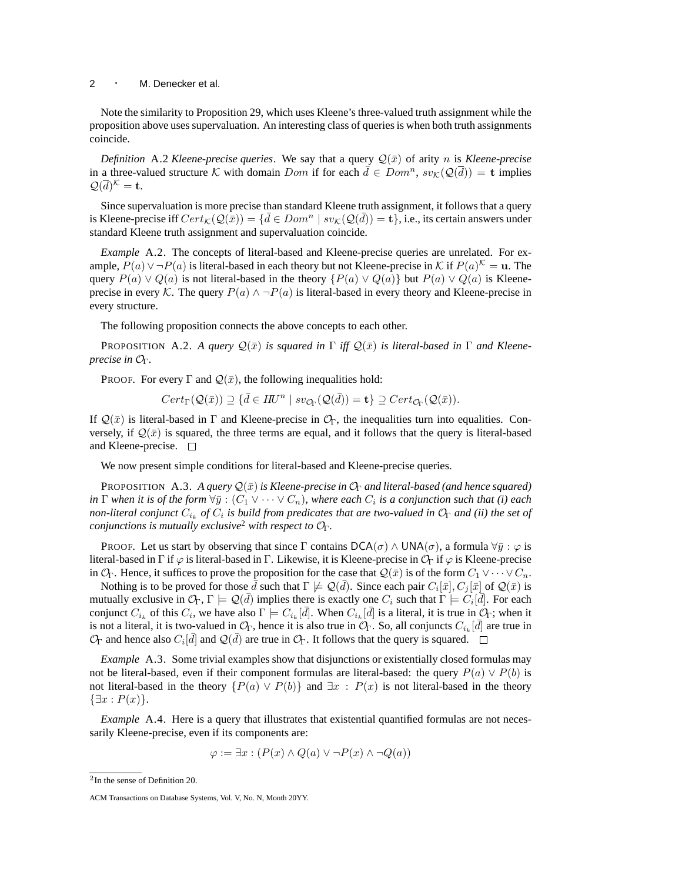Note the similarity to Proposition 29, which uses Kleene's three-valued truth assignment while the proposition above uses supervaluation. An interesting class of queries is when both truth assignments coincide.

*Definition* A.2 *Kleene-precise queries*. We say that a query  $\mathcal{Q}(\bar{x})$  of arity n is *Kleene-precise* in a three-valued structure K with domain Dom if for each  $\bar{d} \in Dom^n$ ,  $sv_K(Q(\bar{d})) = \mathbf{t}$  implies  $\mathcal{Q}(\overline{d})^{\mathcal{K}}=\mathbf{t}.$ 

Since supervaluation is more precise than standard Kleene truth assignment, it follows that a query is Kleene-precise iff  $Cert_{\mathcal{K}}(\mathcal{Q}(\bar{x})) = \{ \bar{d} \in Dom^n \mid sv_{\mathcal{K}}(\mathcal{Q}(\bar{d})) = \mathbf{t} \}$ , i.e., its certain answers under standard Kleene truth assignment and supervaluation coincide.

*Example* A.2. The concepts of literal-based and Kleene-precise queries are unrelated. For example,  $P(a) \vee \neg P(a)$  is literal-based in each theory but not Kleene-precise in K if  $P(a)^{\mathcal{K}} = \mathbf{u}$ . The query  $P(a) \vee Q(a)$  is not literal-based in the theory  $\{P(a) \vee Q(a)\}$  but  $P(a) \vee Q(a)$  is Kleeneprecise in every K. The query  $P(a) \wedge \neg P(a)$  is literal-based in every theory and Kleene-precise in every structure.

The following proposition connects the above concepts to each other.

PROPOSITION A.2. A query  $\mathcal{Q}(\bar{x})$  *is squared in*  $\Gamma$  *iff*  $\mathcal{Q}(\bar{x})$  *is literal-based in*  $\Gamma$  *and Kleeneprecise in*  $O_Γ$ .

PROOF. For every  $\Gamma$  and  $\mathcal{Q}(\bar{x})$ , the following inequalities hold:

 $Cert_{\Gamma}(\mathcal{Q}(\bar{x})) \supseteq {\bar{d} \in H\!U^n \mid sv_{\mathcal{O}_{\Gamma}}(\mathcal{Q}(\bar{d})) = \mathbf{t}} \supseteq Cert_{\mathcal{O}_{\Gamma}}(\mathcal{Q}(\bar{x})).$ 

If  $\mathcal{Q}(\bar{x})$  is literal-based in  $\Gamma$  and Kleene-precise in  $\mathcal{O}_{\Gamma}$ , the inequalities turn into equalities. Conversely, if  $\mathcal{Q}(\bar{x})$  is squared, the three terms are equal, and it follows that the query is literal-based and Kleene-precise.  $\square$ 

We now present simple conditions for literal-based and Kleene-precise queries.

PROPOSITION A.3. A query  $Q(\bar{x})$  *is Kleene-precise in*  $\mathcal{O}_{\Gamma}$  *and literal-based (and hence squared) in*  $\Gamma$  when it is of the form  $\forall \bar{y} : (C_1 \vee \cdots \vee C_n)$ , where each  $C_i$  is a conjunction such that (i) each *non-literal conjunct*  $C_{i_k}$  *of*  $C_i$  is build from predicates that are two-valued in  $\mathcal{O}_\Gamma$  and (ii) the set of *conjunctions is mutually exclusive*<sup>2</sup> *with respect to*  $O<sub>Γ</sub>$ *.* 

PROOF. Let us start by observing that since  $\Gamma$  contains  $DCA(\sigma) \wedge UNA(\sigma)$ , a formula  $\forall \bar{y} : \varphi$  is literal-based in Γ if  $\varphi$  is literal-based in Γ. Likewise, it is Kleene-precise in  $\mathcal{O}_\Gamma$  if  $\varphi$  is Kleene-precise in  $\mathcal{O}_\Gamma$ . Hence, it suffices to prove the proposition for the case that  $\mathcal{Q}(\bar{x})$  is of the form  $C_1 \vee \cdots \vee C_n$ .

Nothing is to be proved for those  $\bar{d}$  such that  $\Gamma \not\models \mathcal{Q}(\bar{d})$ . Since each pair  $C_i[\bar{x}], C_j[\bar{x}]$  of  $\mathcal{Q}(\bar{x})$  is mutually exclusive in  $\mathcal{O}_\Gamma$ ,  $\Gamma \models \mathcal{Q}(\bar{d})$  implies there is exactly one  $C_i$  such that  $\Gamma \models C_i[\bar{d}]$ . For each conjunct  $C_{i_k}$  of this  $C_i$ , we have also  $\Gamma \models C_{i_k}[\bar{d}]$ . When  $C_{i_k}[\bar{d}]$  is a literal, it is true in  $\mathcal{O}_\Gamma$ ; when it is not a literal, it is two-valued in  $\mathcal{O}_\Gamma$ , hence it is also true in  $\mathcal{O}_\Gamma$ . So, all conjuncts  $C_{i_k}[\bar{d}]$  are true in  $\mathcal{O}_\Gamma$  and hence also  $C_i[\bar{d}]$  and  $\mathcal{Q}(\bar{d})$  are true in  $\mathcal{O}_\Gamma$ . It follows that the query is squared.

*Example* A.3. Some trivial examples show that disjunctions or existentially closed formulas may not be literal-based, even if their component formulas are literal-based: the query  $P(a) \vee P(b)$  is not literal-based in the theory  $\{P(a) \lor P(b)\}$  and  $\exists x : P(x)$  is not literal-based in the theory  $\{\exists x : P(x)\}.$ 

*Example* A.4. Here is a query that illustrates that existential quantified formulas are not necessarily Kleene-precise, even if its components are:

$$
\varphi := \exists x : (P(x) \land Q(a) \lor \neg P(x) \land \neg Q(a))
$$

<sup>2</sup> In the sense of Definition 20.

ACM Transactions on Database Systems, Vol. V, No. N, Month 20YY.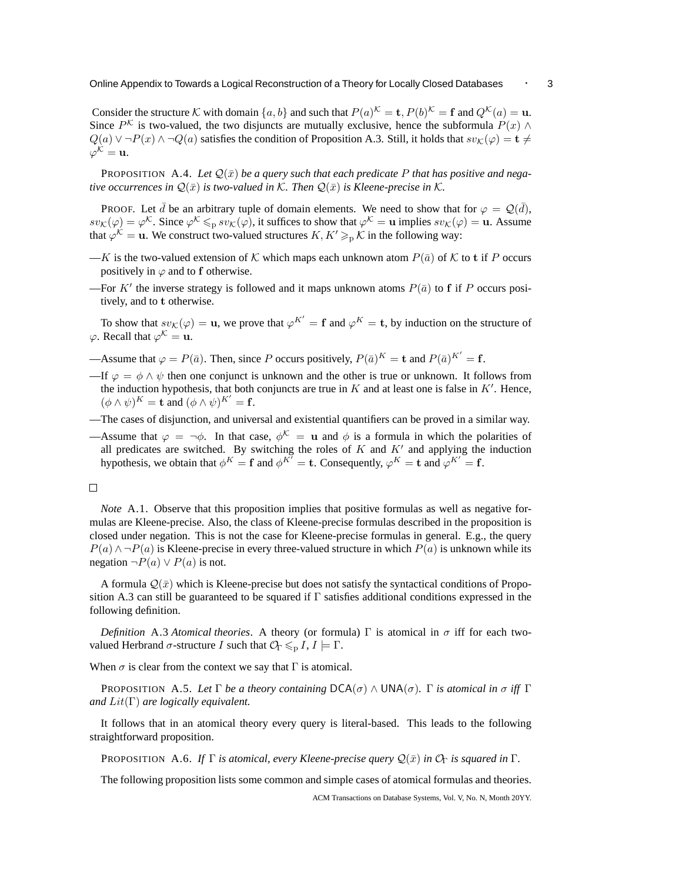Consider the structure K with domain  $\{a, b\}$  and such that  $P(a)^{\mathcal{K}} = \mathbf{t}$ ,  $P(b)^{\mathcal{K}} = \mathbf{f}$  and  $Q^{\mathcal{K}}(a) = \mathbf{u}$ . Since  $P^{\mathcal{K}}$  is two-valued, the two disjuncts are mutually exclusive, hence the subformula  $P(x) \wedge$  $Q(a) \vee \neg P(x) \wedge \neg Q(a)$  satisfies the condition of Proposition A.3. Still, it holds that  $sv_{\mathcal{K}}(\varphi) = \mathbf{t} \neq$  $\varphi^{\mathcal{K}} = \mathbf{u}.$ 

**PROPOSITION** A.4. Let  $\mathcal{Q}(\bar{x})$  be a query such that each predicate P that has positive and nega*tive occurrences in*  $\mathcal{Q}(\bar{x})$  *is two-valued in* K. Then  $\mathcal{Q}(\bar{x})$  *is Kleene-precise in* K.

PROOF. Let  $\bar{d}$  be an arbitrary tuple of domain elements. We need to show that for  $\varphi = \mathcal{Q}(\bar{d})$ ,  $sv_{\mathcal{K}}(\varphi) = \varphi^{\mathcal{K}}$ . Since  $\varphi^{\mathcal{K}} \leq_{p} sv_{\mathcal{K}}(\varphi)$ , it suffices to show that  $\varphi^{\mathcal{K}} = u$  implies  $sv_{\mathcal{K}}(\varphi) = u$ . Assume that  $\varphi^{\mathcal{K}} = \mathbf{u}$ . We construct two-valued structures  $K, K' \geq_{\mathrm{p}} \mathcal{K}$  in the following way:

- —K is the two-valued extension of K which maps each unknown atom  $P(\bar{a})$  of K to t if P occurs positively in  $\varphi$  and to f otherwise.
- —For K' the inverse strategy is followed and it maps unknown atoms  $P(\bar{a})$  to f if P occurs positively, and to t otherwise.

To show that  $sv_{\mathcal{K}}(\varphi) = \mathbf{u}$ , we prove that  $\varphi^{K'} = \mathbf{f}$  and  $\varphi^{K} = \mathbf{t}$ , by induction on the structure of  $\varphi$ . Recall that  $\varphi^{\mathcal{K}} = \mathbf{u}$ .

- —Assume that  $\varphi = P(\bar{a})$ . Then, since P occurs positively,  $P(\bar{a})^K = \mathbf{t}$  and  $P(\bar{a})^{K'} = \mathbf{f}$ .
- —If  $\varphi = \phi \wedge \psi$  then one conjunct is unknown and the other is true or unknown. It follows from the induction hypothesis, that both conjuncts are true in  $K$  and at least one is false in  $K'$ . Hence,  $(\phi \wedge \psi)^K = \mathbf{t}$  and  $(\phi \wedge \psi)^{K'} = \mathbf{f}$ .
- —The cases of disjunction, and universal and existential quantifiers can be proved in a similar way.
- —Assume that  $\varphi = \neg \phi$ . In that case,  $\phi^{\mathcal{K}} = u$  and  $\phi$  is a formula in which the polarities of all predicates are switched. By switching the roles of  $K$  and  $K'$  and applying the induction hypothesis, we obtain that  $\phi^K = \mathbf{f}$  and  $\phi^{K'} = \mathbf{t}$ . Consequently,  $\phi^K = \mathbf{t}$  and  $\phi^{K'} = \mathbf{f}$ .

#### $\Box$

*Note* A.1. Observe that this proposition implies that positive formulas as well as negative formulas are Kleene-precise. Also, the class of Kleene-precise formulas described in the proposition is closed under negation. This is not the case for Kleene-precise formulas in general. E.g., the query  $P(a) \wedge \neg P(a)$  is Kleene-precise in every three-valued structure in which  $P(a)$  is unknown while its negation  $\neg P(a) \vee P(a)$  is not.

A formula  $\mathcal{Q}(\bar{x})$  which is Kleene-precise but does not satisfy the syntactical conditions of Proposition A.3 can still be guaranteed to be squared if  $\Gamma$  satisfies additional conditions expressed in the following definition.

*Definition* A.3 *Atomical theories*. A theory (or formula) Γ is atomical in  $\sigma$  iff for each twovalued Herbrand  $\sigma$ -structure I such that  $\mathcal{O}_\Gamma \leq D I$ ,  $I \models \Gamma$ .

When  $\sigma$  is clear from the context we say that  $\Gamma$  is atomical.

PROPOSITION A.5. Let  $\Gamma$  *be a theory containing*  $DCA(\sigma) \wedge UNA(\sigma)$ *.*  $\Gamma$  *is atomical in*  $\sigma$  *iff*  $\Gamma$ *and* Lit(Γ) *are logically equivalent.*

It follows that in an atomical theory every query is literal-based. This leads to the following straightforward proposition.

PROPOSITION A.6. *If*  $\Gamma$  *is atomical, every Kleene-precise query*  $\mathcal{Q}(\bar{x})$  *in*  $\mathcal{O}_{\Gamma}$  *is squared in*  $\Gamma$ *.* 

The following proposition lists some common and simple cases of atomical formulas and theories.

ACM Transactions on Database Systems, Vol. V, No. N, Month 20YY.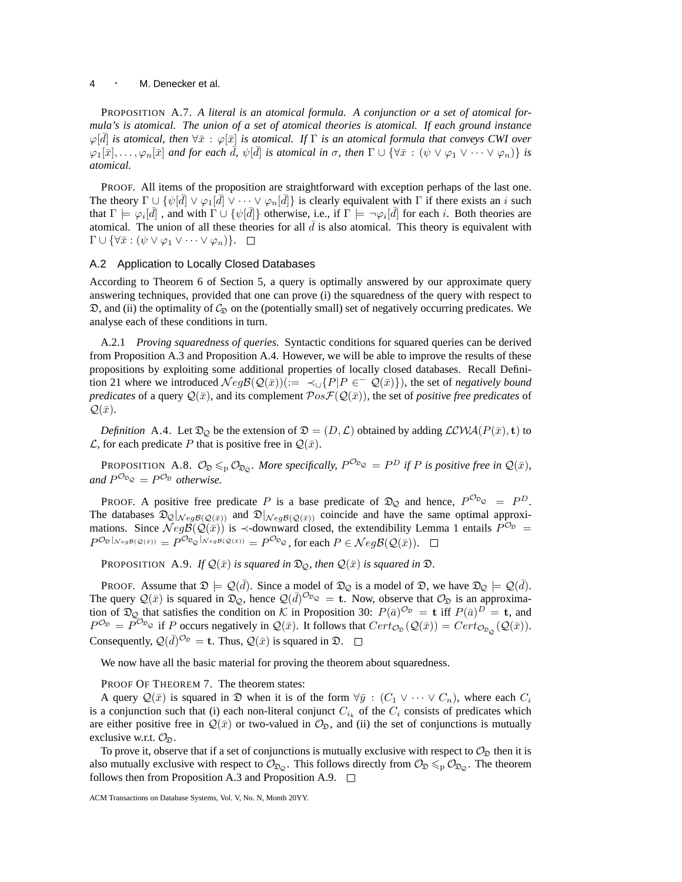## <sup>4</sup> · M. Denecker et al.

PROPOSITION A.7. *A literal is an atomical formula. A conjunction or a set of atomical formula's is atomical. The union of a set of atomical theories is atomical. If each ground instance*  $\varphi[\bar{d}]$  *is atomical, then*  $\forall \bar{x} : \varphi[\bar{x}]$  *is atomical. If* Γ *is an atomical formula that conveys CWI over*  $\varphi_1[\bar{x}],\ldots,\varphi_n[\bar{x}]$  and for each  $\bar{d}$ ,  $\psi[\bar{d}]$  is atomical in  $\sigma$ , then  $\Gamma \cup \{ \forall \bar{x} : (\psi \vee \varphi_1 \vee \cdots \vee \varphi_n) \}$  is *atomical.*

PROOF. All items of the proposition are straightforward with exception perhaps of the last one. The theory  $\Gamma \cup \{\psi[\bar{d}] \vee \varphi_1[\bar{d}] \vee \cdots \vee \varphi_n[\bar{d}]\}$  is clearly equivalent with  $\Gamma$  if there exists an i such that  $\Gamma \models \varphi_i[\bar{d}]$ , and with  $\Gamma \cup \{\psi[\bar{d}]\}\$  otherwise, i.e., if  $\Gamma \models \neg \varphi_i[\bar{d}]$  for each i. Both theories are atomical. The union of all these theories for all  $\bar{d}$  is also atomical. This theory is equivalent with  $\Gamma \cup \{ \forall \bar{x} : (\psi \vee \varphi_1 \vee \cdots \vee \varphi_n) \}. \quad \Box$ 

#### A.2 Application to Locally Closed Databases

According to Theorem 6 of Section 5, a query is optimally answered by our approximate query answering techniques, provided that one can prove (i) the squaredness of the query with respect to  $\mathfrak{D}$ , and (ii) the optimality of  $\mathcal{C}_{\mathfrak{D}}$  on the (potentially small) set of negatively occurring predicates. We analyse each of these conditions in turn.

A.2.1 *Proving squaredness of queries.* Syntactic conditions for squared queries can be derived from Proposition A.3 and Proposition A.4. However, we will be able to improve the results of these propositions by exploiting some additional properties of locally closed databases. Recall Definition 21 where we introduced  $Neg\mathcal{B}(Q(\bar{x})):= \prec_{\cup} \{P|P \in \mathcal{Q}(\bar{x})\}$ , the set of *negatively bound predicates* of a query  $Q(\bar{x})$ , and its complement  $Pos\mathcal{F}(Q(\bar{x}))$ , the set of *positive free predicates* of  $\mathcal{Q}(\bar{x})$ .

*Definition* A.4. Let  $\mathfrak{D}_{\mathcal{Q}}$  be the extension of  $\mathfrak{D} = (D, \mathcal{L})$  obtained by adding  $\mathcal{LCWA}(P(\bar{x}), \mathbf{t})$  to  $\mathcal{L}$ , for each predicate P that is positive free in  $\mathcal{Q}(\bar{x})$ .

**PROPOSITION** A.8.  $\mathcal{O}_{\mathfrak{D}} \leqslant_{p} \mathcal{O}_{\mathfrak{D}_{\mathcal{Q}}}$ . More specifically,  $P^{\mathcal{O}_{\mathfrak{D}_{\mathcal{Q}}}} = P^D$  if P is positive free in  $\mathcal{Q}(\bar{x})$ , and  $P^{\mathcal{O}_{\mathfrak{D}_{\mathcal{Q}}}} = P^{\mathcal{O}_{\mathfrak{D}}}$  otherwise.

PROOF. A positive free predicate P is a base predicate of  $\mathfrak{D}_{\mathcal{Q}}$  and hence,  $P^{\mathcal{O}_{\mathfrak{D}_{\mathcal{Q}}}} = P^D$ . The databases  $\mathfrak{D}_{\mathcal{Q}}|_{\mathcal{N}eg\mathcal{B}(\mathcal{Q}(\bar{x}))}$  and  $\mathfrak{D}|_{\mathcal{N}eg\mathcal{B}(\mathcal{Q}(\bar{x}))}$  coincide and have the same optimal approximations. Since  $Neg\mathcal{B}(Q(\bar{x}))$  is  $\prec$ -downward closed, the extendibility Lemma 1 entails  $P^{\mathcal{O}_{\mathfrak{D}}}$  $P^{\mathcal{O}_{\mathfrak{D}}}|_{Neg\mathcal{B}(\mathcal{Q}(\bar{x}))} = P^{\mathcal{O}_{\mathfrak{D}_{\mathcal{Q}}}|_{Neg\mathcal{B}(\mathcal{Q}(\bar{x}))}} = P^{\mathcal{O}_{\mathfrak{D}_{\mathcal{Q}}}},$  for each  $P \in \mathcal{N}eg\mathcal{B}(\mathcal{Q}(\bar{x})).$ 

PROPOSITION A.9. *If*  $\mathcal{Q}(\bar{x})$  *is squared in*  $\mathcal{D}_{\mathcal{Q}}$ *, then*  $\mathcal{Q}(\bar{x})$  *is squared in*  $\mathcal{D}$ *.* 

PROOF. Assume that  $\mathfrak{D} \models \mathcal{Q}(\bar{d})$ . Since a model of  $\mathfrak{D}_{\mathcal{Q}}$  is a model of  $\mathfrak{D}$ , we have  $\mathfrak{D}_{\mathcal{Q}} \models \mathcal{Q}(\bar{d})$ . The query  $\mathcal{Q}(\bar{x})$  is squared in  $\mathfrak{D}_{\mathcal{Q}}$ , hence  $\mathcal{Q}(\bar{d})^{\mathcal{O}_{\mathfrak{D}_{\mathcal{Q}}}} = \mathbf{t}$ . Now, observe that  $\mathcal{O}_{\mathfrak{D}}$  is an approximation of  $\mathfrak{D}_{\mathcal{Q}}$  that satisfies the condition on K in Proposition 30:  $P(\bar{a})^{\mathcal{O}_{\mathfrak{D}}} = \mathbf{t}$  iff  $P(\bar{a})^D = \mathbf{t}$ , and  $P^{\mathcal{O}_{\mathfrak{D}}} = P^{\mathcal{O}_{\mathfrak{D}_{\mathcal{Q}}}}$  if P occurs negatively in  $\mathcal{Q}(\bar{x})$ . It follows that  $Cert_{\mathcal{O}_{\mathfrak{D}}}(\mathcal{Q}(\bar{x})) = Cert_{\mathcal{O}_{\mathfrak{D}_{\mathcal{Q}}}}(\mathcal{Q}(\bar{x}))$ . Consequently,  $Q(\bar{d})^{\mathcal{O}_{\mathfrak{D}}} = \mathbf{t}$ . Thus,  $Q(\bar{x})$  is squared in  $\mathfrak{D}$ .

We now have all the basic material for proving the theorem about squaredness.

PROOF OF THEOREM 7. The theorem states:

A query  $\mathcal{Q}(\bar{x})$  is squared in  $\mathfrak{D}$  when it is of the form  $\forall \bar{y}: (C_1 \vee \cdots \vee C_n)$ , where each  $C_i$ is a conjunction such that (i) each non-literal conjunct  $C_{i_k}$  of the  $C_i$  consists of predicates which are either positive free in  $\mathcal{Q}(\bar{x})$  or two-valued in  $\mathcal{O}_{\mathfrak{D}}$ , and (ii) the set of conjunctions is mutually exclusive w.r.t.  $\mathcal{O}_{\mathfrak{D}}$ .

To prove it, observe that if a set of conjunctions is mutually exclusive with respect to  $\mathcal{O}_{\mathfrak{D}}$  then it is also mutually exclusive with respect to  $\mathcal{O}_{\mathfrak{D}_{\mathcal{Q}}}$ . This follows directly from  $\mathcal{O}_{\mathfrak{D}} \leq_p \mathcal{O}_{\mathfrak{D}_{\mathcal{Q}}}$ . The theorem follows then from Proposition A.3 and Proposition A.9.  $\Box$ 

ACM Transactions on Database Systems, Vol. V, No. N, Month 20YY.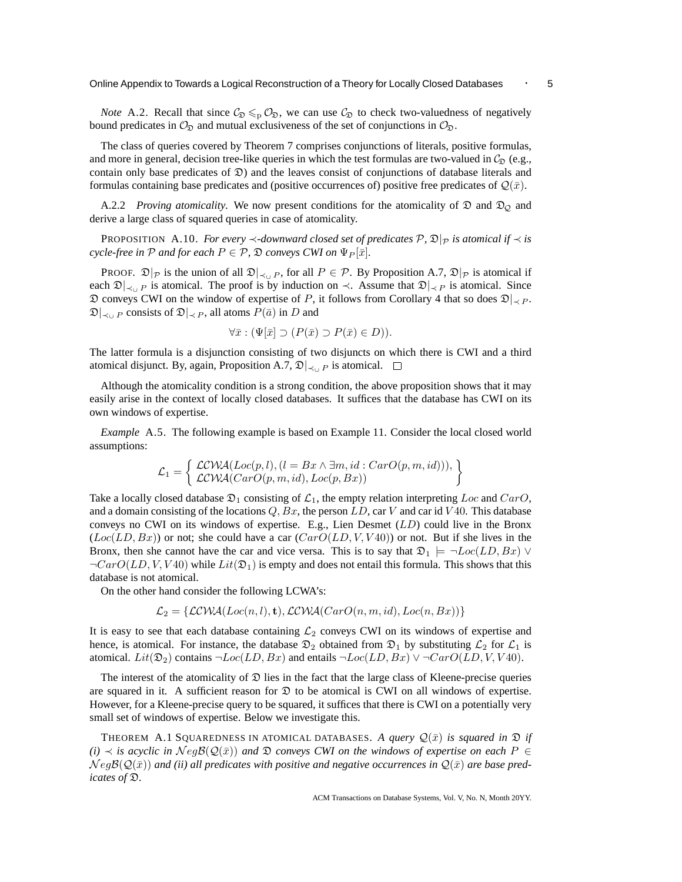*Note* A.2. Recall that since  $\mathcal{C}_{\mathfrak{D}} \leq \mathcal{O}_{\mathfrak{D}}$ , we can use  $\mathcal{C}_{\mathfrak{D}}$  to check two-valuedness of negatively bound predicates in  $\mathcal{O}_{\mathfrak{D}}$  and mutual exclusiveness of the set of conjunctions in  $\mathcal{O}_{\mathfrak{D}}$ .

The class of queries covered by Theorem 7 comprises conjunctions of literals, positive formulas, and more in general, decision tree-like queries in which the test formulas are two-valued in  $C_{\mathfrak{D}}$  (e.g., contain only base predicates of  $\mathfrak{D}$ ) and the leaves consist of conjunctions of database literals and formulas containing base predicates and (positive occurrences of) positive free predicates of  $\mathcal{Q}(\bar{x})$ .

A.2.2 *Proving atomicality.* We now present conditions for the atomicality of  $\mathfrak D$  and  $\mathfrak D_{\mathcal Q}$  and derive a large class of squared queries in case of atomicality.

PROPOSITION A.10. *For every*  $\prec$ *-downward closed set of predicates*  $P$ *,*  $\mathfrak{D}|_P$  *is atomical if*  $\prec$  *is cycle-free in*  $P$  *and for each*  $P \in P$ ,  $\mathfrak{D}$  *conveys CWI on*  $\Psi_P[\bar{x}]$ *.* 

PROOF.  $\mathfrak{D}|_{\mathcal{P}}$  is the union of all  $\mathfrak{D}|_{\prec\cup P}$ , for all  $P \in \mathcal{P}$ . By Proposition A.7,  $\mathfrak{D}|_{\mathcal{P}}$  is atomical if each  $\mathfrak{D}|_{\prec\cup P}$  is atomical. The proof is by induction on  $\prec$ . Assume that  $\mathfrak{D}|_{\prec P}$  is atomical. Since  $\mathfrak D$  conveys CWI on the window of expertise of P, it follows from Corollary 4 that so does  $\mathfrak D|_{\lt 2}P$ .  $\mathfrak{D}|_{\prec_{\mathfrak{U}} P}$  consists of  $\mathfrak{D}|_{\prec P}$ , all atoms  $P(\bar{a})$  in D and

$$
\forall \bar{x} : (\Psi[\bar{x}] \supset (P(\bar{x}) \supset P(\bar{x}) \in D)).
$$

The latter formula is a disjunction consisting of two disjuncts on which there is CWI and a third atomical disjunct. By, again, Proposition A.7,  $\mathfrak{D}|_{\prec \cup P}$  is atomical.  $□$ 

Although the atomicality condition is a strong condition, the above proposition shows that it may easily arise in the context of locally closed databases. It suffices that the database has CWI on its own windows of expertise.

*Example* A.5. The following example is based on Example 11. Consider the local closed world assumptions:

$$
\mathcal{L}_1 = \left\{ \begin{array}{l} \mathcal{LCWA}(Loc(p, l), (l = Bx \land \exists m, id : CarO(p, m, id))), \\ \mathcal{LCWA}(CarO(p, m, id), Loc(p, Bx)) \end{array} \right\}
$$

Take a locally closed database  $\mathfrak{D}_1$  consisting of  $\mathcal{L}_1$ , the empty relation interpreting Loc and CarO, and a domain consisting of the locations  $Q$ ,  $Bx$ , the person  $LD$ , car V and car id V40. This database conveys no CWI on its windows of expertise. E.g., Lien Desmet  $(LD)$  could live in the Bronx  $(Loc(LD, Bx))$  or not; she could have a car  $(CarO(LD, V, V40))$  or not. But if she lives in the Bronx, then she cannot have the car and vice versa. This is to say that  $\mathfrak{D}_1 \models \neg Loc(LD, Bx)$  $\neg CarO(LD, V, V40)$  while  $Lit(\mathfrak{D}_1)$  is empty and does not entail this formula. This shows that this database is not atomical.

On the other hand consider the following LCWA's:

 $\mathcal{L}_2 = \{ \mathcal{LCWA}(Loc(n, l), t), \mathcal{LCWA}(CarO(n, m, id), Loc(n, Bx)) \}$ 

It is easy to see that each database containing  $\mathcal{L}_2$  conveys CWI on its windows of expertise and hence, is atomical. For instance, the database  $\mathfrak{D}_2$  obtained from  $\mathfrak{D}_1$  by substituting  $\mathcal{L}_2$  for  $\mathcal{L}_1$  is atomical.  $Lit(\mathfrak{D}_2)$  contains  $\neg Loc(LD, Bx)$  and entails  $\neg Loc(LD, Bx) \vee \neg CarO(LD, V, V40)$ .

The interest of the atomicality of  $\mathfrak D$  lies in the fact that the large class of Kleene-precise queries are squared in it. A sufficient reason for  $\mathfrak D$  to be atomical is CWI on all windows of expertise. However, for a Kleene-precise query to be squared, it suffices that there is CWI on a potentially very small set of windows of expertise. Below we investigate this.

THEOREM A.1 SQUAREDNESS IN ATOMICAL DATABASES. A query  $\mathcal{Q}(\bar{x})$  is squared in  $\mathfrak{D}$  if  $(i) \prec$  *is acyclic in*  $NegB(Q(\bar{x}))$  *and*  $\mathfrak{D}$  *conveys CWI on the windows of expertise on each*  $P \in$  $Neg\mathcal{B}(\mathcal{Q}(\bar{x}))$  and (ii) all predicates with positive and negative occurrences in  $\mathcal{Q}(\bar{x})$  are base pred*icates of* D*.*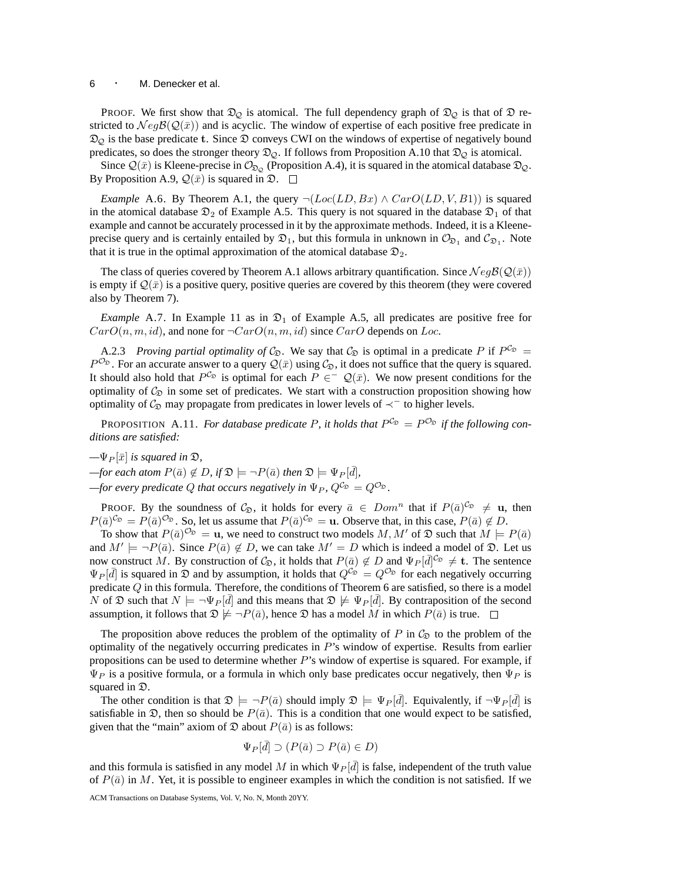## <sup>6</sup> · M. Denecker et al.

PROOF. We first show that  $\mathfrak{D}_{\mathcal{Q}}$  is atomical. The full dependency graph of  $\mathfrak{D}_{\mathcal{Q}}$  is that of  $\mathfrak D$  restricted to  $NegB(Q(\bar{x}))$  and is acyclic. The window of expertise of each positive free predicate in  $\mathfrak{D}_{\mathcal{Q}}$  is the base predicate t. Since  $\mathfrak D$  conveys CWI on the windows of expertise of negatively bound predicates, so does the stronger theory  $\mathfrak{D}_{\mathcal{Q}}$ . If follows from Proposition A.10 that  $\mathfrak{D}_{\mathcal{Q}}$  is atomical.

Since  $\mathcal{Q}(\bar{x})$  is Kleene-precise in  $\mathcal{O}_{\mathfrak{D}_{\mathcal{Q}}}$  (Proposition A.4), it is squared in the atomical database  $\mathfrak{D}_{\mathcal{Q}}$ . By Proposition A.9,  $\mathcal{Q}(\bar{x})$  is squared in  $\mathfrak{D}$ .  $\Box$ 

*Example* A.6. By Theorem A.1, the query  $\neg (Loc(LD, Bx) \land CarO(LD, V, B1))$  is squared in the atomical database  $\mathfrak{D}_2$  of Example A.5. This query is not squared in the database  $\mathfrak{D}_1$  of that example and cannot be accurately processed in it by the approximate methods. Indeed, it is a Kleeneprecise query and is certainly entailed by  $\mathfrak{D}_1$ , but this formula in unknown in  $\mathcal{O}_{\mathfrak{D}_1}$  and  $\mathcal{C}_{\mathfrak{D}_1}$ . Note that it is true in the optimal approximation of the atomical database  $\mathfrak{D}_2$ .

The class of queries covered by Theorem A.1 allows arbitrary quantification. Since  $\mathcal N eg\mathcal B(\mathcal Q(\bar x))$ is empty if  $\mathcal{Q}(\bar{x})$  is a positive query, positive queries are covered by this theorem (they were covered also by Theorem 7).

*Example* A.7. In Example 11 as in  $\mathfrak{D}_1$  of Example A.5, all predicates are positive free for  $CarO(n, m, id)$ , and none for  $\neg CarO(n, m, id)$  since  $CarO$  depends on Loc.

A.2.3 *Proving partial optimality of*  $\mathcal{C}_{\mathfrak{D}}$ . We say that  $\mathcal{C}_{\mathfrak{D}}$  is optimal in a predicate P if  $P^{\mathcal{C}_{\mathfrak{D}}}$  =  $P^{\mathcal{O}_{\mathfrak{D}}}$ . For an accurate answer to a query  $\mathcal{Q}(\bar{x})$  using  $\mathcal{C}_{\mathfrak{D}}$ , it does not suffice that the query is squared. It should also hold that  $P^{\mathcal{C}_{\mathfrak{D}}}$  is optimal for each  $P \in \mathcal{Q}(\bar{x})$ . We now present conditions for the optimality of  $\mathcal{C}_{\mathfrak{D}}$  in some set of predicates. We start with a construction proposition showing how optimality of  $C_{\mathcal{D}}$  may propagate from predicates in lower levels of  $\prec^-$  to higher levels.

PROPOSITION A.11. *For database predicate P, it holds that*  $P^{C_{\mathfrak{D}}} = P^{O_{\mathfrak{D}}}$  *if the following conditions are satisfied:*

 $-\Psi_P[\bar{x}]$  *is squared in*  $\mathfrak{D}$ ,

 $-\textit{for each atom } P(\bar{a}) \notin D, \textit{if } \mathfrak{D} \models \neg P(\bar{a}) \textit{ then } \mathfrak{D} \models \Psi_P[\bar{d}],$ 

 $-$ *for every predicate*  $Q$  *that occurs negatively in*  $\Psi_P$ ,  $Q^{\mathcal{C}_{\mathfrak{D}}} = Q^{\mathcal{O}_{\mathfrak{D}}}$ .

PROOF. By the soundness of  $C_{\mathfrak{D}}$ , it holds for every  $\bar{a} \in Dom^n$  that if  $P(\bar{a})^{C_{\mathfrak{D}}} \neq \mathbf{u}$ , then  $P(\bar{a})^{\mathcal{C}_{\mathfrak{D}}} = P(\bar{a})^{\mathcal{O}_{\mathfrak{D}}}$ . So, let us assume that  $P(\bar{a})^{\mathcal{C}_{\mathfrak{D}}} = \mathbf{u}$ . Observe that, in this case,  $P(\bar{a}) \notin D$ .

To show that  $P(\bar{a})^{\mathcal{O}_{\mathfrak{D}}} = \mathbf{u}$ , we need to construct two models  $M, M'$  of  $\mathfrak{D}$  such that  $M \models P(\bar{a})$ and  $M' \models \neg P(\bar{a})$ . Since  $P(\bar{a}) \notin D$ , we can take  $M' = D$  which is indeed a model of  $\mathfrak{D}$ . Let us now construct M. By construction of  $C_{\mathfrak{D}}$ , it holds that  $P(\bar{a}) \notin D$  and  $\Psi_P[\bar{d}]^{C_{\mathfrak{D}}} \neq \mathbf{t}$ . The sentence  $\Psi_P[\bar{d}]$  is squared in  $\mathfrak D$  and by assumption, it holds that  $Q^{\mathcal{C}_{\mathfrak D}} = Q^{\mathcal{O}_{\mathfrak D}}$  for each negatively occurring predicate Q in this formula. Therefore, the conditions of Theorem 6 are satisfied, so there is a model N of  $\mathfrak D$  such that  $N \models \neg \Psi_P[\bar d]$  and this means that  $\mathfrak D \not\models \Psi_P[\bar d]$ . By contraposition of the second assumption, it follows that  $\mathfrak{D} \not\models \neg P(\bar{a})$ , hence  $\mathfrak D$  has a model M in which  $P(\bar{a})$  is true.  $\Box$ 

The proposition above reduces the problem of the optimality of P in  $C_{\mathfrak{D}}$  to the problem of the optimality of the negatively occurring predicates in P's window of expertise. Results from earlier propositions can be used to determine whether  $P$ 's window of expertise is squared. For example, if  $\Psi_P$  is a positive formula, or a formula in which only base predicates occur negatively, then  $\Psi_P$  is squared in  $\mathfrak{D}$ .

The other condition is that  $\mathfrak{D} \models \neg P(\bar{a})$  should imply  $\mathfrak{D} \models \Psi_P[\bar{d}]$ . Equivalently, if  $\neg \Psi_P[\bar{d}]$  is satisfiable in  $\mathfrak{D}$ , then so should be  $P(\bar{a})$ . This is a condition that one would expect to be satisfied, given that the "main" axiom of  $\mathfrak D$  about  $P(\bar a)$  is as follows:

$$
\Psi_P[\bar{d}] \supset (P(\bar{a}) \supset P(\bar{a}) \in D)
$$

and this formula is satisfied in any model M in which  $\Psi_P[\bar{d}]$  is false, independent of the truth value of  $P(\bar{a})$  in M. Yet, it is possible to engineer examples in which the condition is not satisfied. If we

ACM Transactions on Database Systems, Vol. V, No. N, Month 20YY.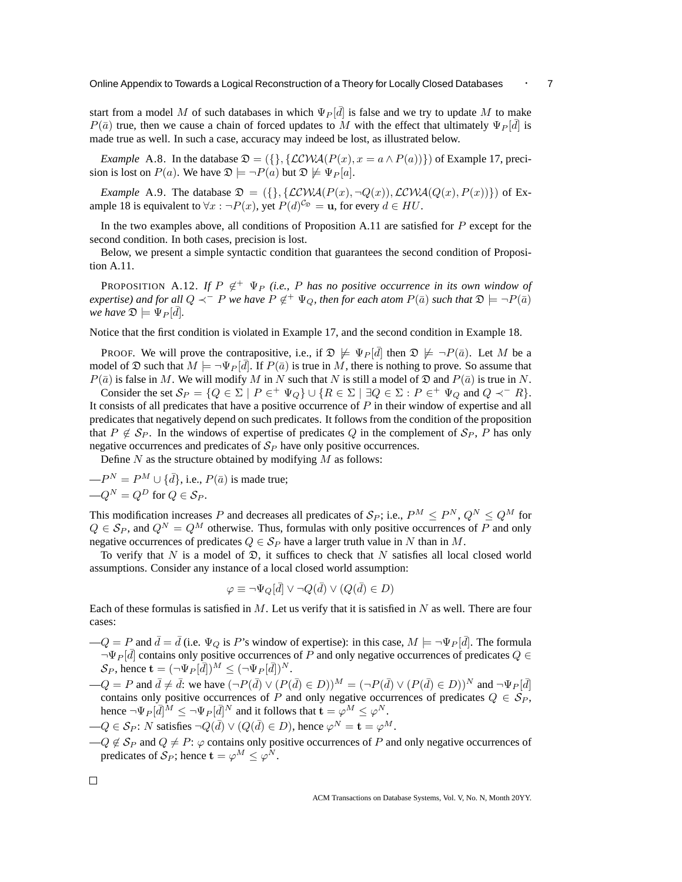start from a model M of such databases in which  $\Psi_P[\bar{d}]$  is false and we try to update M to make  $P(\bar{a})$  true, then we cause a chain of forced updates to M with the effect that ultimately  $\Psi_P[\bar{d}]$  is made true as well. In such a case, accuracy may indeed be lost, as illustrated below.

*Example* A.8. In the database  $\mathfrak{D} = (\{\}, \{\text{LCWA}(P(x), x = a \land P(a))\})$  of Example 17, precision is lost on  $P(a)$ . We have  $\mathfrak{D} \models \neg P(a)$  but  $\mathfrak{D} \not\models \Psi_P[a]$ .

*Example* A.9. The database  $\mathfrak{D} = (\{\}, \{\mathcal{LCWA}(P(x), \neg Q(x)), \mathcal{LCWA}(Q(x), P(x))\})$  of Example 18 is equivalent to  $\forall x : \neg P(x)$ , yet  $P(d)^{C_{\mathfrak{D}}} = \mathbf{u}$ , for every  $d \in HU$ .

In the two examples above, all conditions of Proposition A.11 are satisfied for  $P$  except for the second condition. In both cases, precision is lost.

Below, we present a simple syntactic condition that guarantees the second condition of Proposition A.11.

**PROPOSITION** A.12. If  $P \notin \Psi_P$  (i.e., P has no positive occurrence in its own window of  $e$ xpertise) and for all  $Q \prec^- P$  we have  $P \notin^+ \Psi_Q$ , then for each atom  $P(\bar a)$  such that  $\mathfrak{D} \models \neg P(\bar a)$ *we have*  $\mathfrak{D} \models \Psi_P[\bar{d}].$ 

Notice that the first condition is violated in Example 17, and the second condition in Example 18.

PROOF. We will prove the contrapositive, i.e., if  $\mathfrak{D} \not\models \Psi_P[\bar{d}]$  then  $\mathfrak{D} \not\models \neg P(\bar{a})$ . Let M be a model of  $\mathfrak D$  such that  $M \models \neg \Psi_P[\bar d]$ . If  $P(\bar a)$  is true in M, there is nothing to prove. So assume that  $P(\bar{a})$  is false in M. We will modify M in N such that N is still a model of  $\mathfrak{D}$  and  $P(\bar{a})$  is true in N.

Consider the set  $S_P = \{Q \in \Sigma \mid P \in^+ \Psi_Q\} \cup \{R \in \Sigma \mid \exists Q \in \Sigma : P \in^+ \Psi_Q \text{ and } Q \prec^- R\}.$ It consists of all predicates that have a positive occurrence of P in their window of expertise and all predicates that negatively depend on such predicates. It follows from the condition of the proposition that  $P \notin S_P$ . In the windows of expertise of predicates Q in the complement of  $S_P$ , P has only negative occurrences and predicates of  $S_p$  have only positive occurrences.

Define  $N$  as the structure obtained by modifying  $M$  as follows:

$$
-PN = PM \cup {\bar{d}}, i.e., P(\bar{a}) is made true;-QN = QD for Q \in SP.
$$

This modification increases P and decreases all predicates of  $\mathcal{S}_P$ ; i.e.,  $P^M \leq P^N$ ,  $Q^N \leq Q^M$  for  $Q \in S_P$ , and  $Q^N = Q^M$  otherwise. Thus, formulas with only positive occurrences of P and only negative occurrences of predicates  $Q \in S_P$  have a larger truth value in N than in M.

To verify that N is a model of  $\mathfrak{D}$ , it suffices to check that N satisfies all local closed world assumptions. Consider any instance of a local closed world assumption:

$$
\varphi \equiv \neg \Psi_Q[\bar{d}] \vee \neg Q(\bar{d}) \vee (Q(\bar{d}) \in D)
$$

Each of these formulas is satisfied in  $M$ . Let us verify that it is satisfied in  $N$  as well. There are four cases:

- $-Q = P$  and  $\bar{d} = \bar{d}$  (i.e.  $\Psi_Q$  is P's window of expertise): in this case,  $M \models \neg \Psi_P[\bar{d}]$ . The formula  $\neg \Psi_P[\bar{d}]$  contains only positive occurrences of P and only negative occurrences of predicates  $Q \in$  $\mathcal{S}_P$ , hence  $\mathbf{t} = (\neg \Psi_P[\bar{d}])^M \leq (\neg \Psi_P[\bar{d}])^N$ .
- $-Q = P$  and  $\bar{d} \neq \bar{d}$ : we have  $(\neg P(\bar{d}) \vee (P(\bar{d}) \in D))^M = (\neg P(\bar{d}) \vee (P(\bar{d}) \in D))^N$  and  $\neg \Psi_P[\bar{d}]$ contains only positive occurrences of P and only negative occurrences of predicates  $Q \in S_P$ , hence  $\neg \Psi_P[\bar{d}]^M \leq \neg \Psi_P[\bar{d}]^N$  and it follows that  $\mathbf{t} = \varphi^M \leq \varphi^N$ .  $-Q \in \mathcal{S}_P$ : N satisfies  $\neg Q(\bar{d}) \vee (Q(\bar{d}) \in D)$ , hence  $\varphi^N = \mathbf{t} = \varphi^M$ .
- $-Q \notin S_P$  and  $Q \neq P$ :  $\varphi$  contains only positive occurrences of P and only negative occurrences of predicates of  $\mathcal{S}_P$ ; hence  $\mathbf{t} = \varphi^M \leq \varphi^N$ .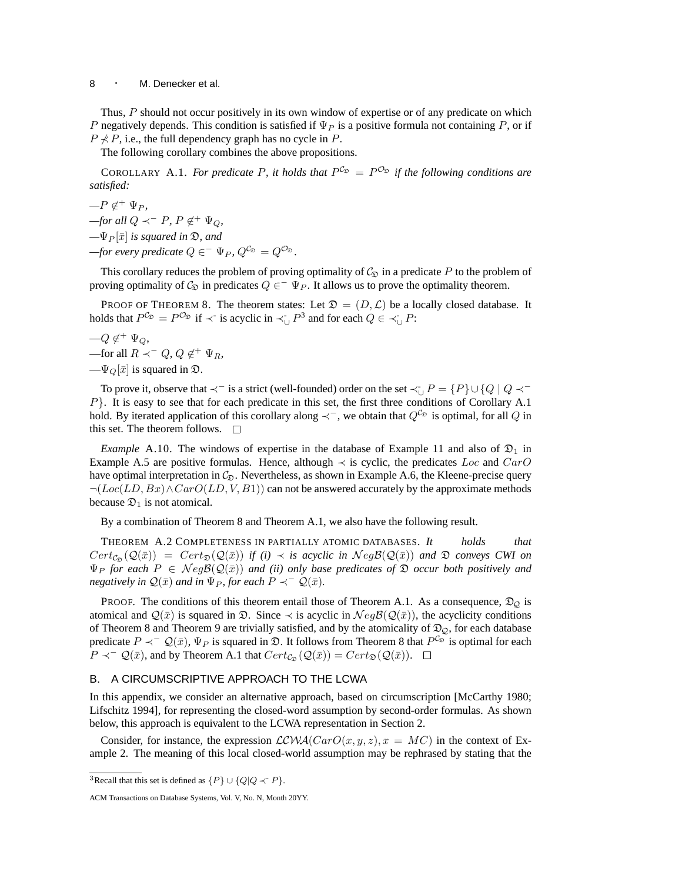Thus, P should not occur positively in its own window of expertise or of any predicate on which P negatively depends. This condition is satisfied if  $\Psi_P$  is a positive formula not containing P, or if  $P \nless P$ , i.e., the full dependency graph has no cycle in P.

The following corollary combines the above propositions.

COROLLARY A.1. For predicate P, it holds that  $P^{\mathcal{C}_{\mathfrak{D}}} = P^{\mathcal{O}_{\mathfrak{D}}}$  if the following conditions are *satisfied:*

 $-P \notin^+ \Psi_P$ ,

 $-f$ *or all*  $Q \prec^- P$ ,  $P \notin^+ \Psi_Q$ ,

 $-\Psi_P[\bar{x}]$  *is squared in*  $\mathfrak{D}$ *, and* 

 $-\text{for every predicate } Q \in \Psi_P, Q^{\mathcal{C}_{\mathfrak{D}}} = Q^{\mathcal{O}_{\mathfrak{D}}}.$ 

This corollary reduces the problem of proving optimality of  $\mathcal{C}_{\mathfrak{D}}$  in a predicate P to the problem of proving optimality of  $C_{\mathfrak{D}}$  in predicates  $Q \in \Psi_P$ . It allows us to prove the optimality theorem.

PROOF OF THEOREM 8. The theorem states: Let  $\mathfrak{D} = (D, \mathcal{L})$  be a locally closed database. It holds that  $P^{\mathcal{C}_{\mathfrak{D}}} = P^{\mathcal{O}_{\mathfrak{D}}}$  if  $\prec$  is acyclic in  $\prec_{\cup} P^3$  and for each  $Q \in \prec_{\cup} P$ :

$$
-Q \notin^+ \Psi_Q,
$$
  
—for all  $R \prec^- Q, Q \notin^+ \Psi_R$ ,  

$$
-\Psi_Q[\bar{x}]
$$
 is squared in  $\mathfrak{D}$ .

To prove it, observe that  $\prec^-$  is a strict (well-founded) order on the set  $\prec_{\cup} P = \{P\} \cup \{Q \mid Q \prec^+ \}$  $P$ . It is easy to see that for each predicate in this set, the first three conditions of Corollary A.1 hold. By iterated application of this corollary along  $\prec^-$ , we obtain that  $Q^C\Omega$  is optimal, for all Q in this set. The theorem follows.

*Example* A.10. The windows of expertise in the database of Example 11 and also of  $\mathfrak{D}_1$  in Example A.5 are positive formulas. Hence, although  $\prec$  is cyclic, the predicates Loc and CarO have optimal interpretation in  $\mathcal{C}_{\mathfrak{D}}$ . Nevertheless, as shown in Example A.6, the Kleene-precise query  $\neg(Loc(LD, Bx) \land CarO(LD, V, B1))$  can not be answered accurately by the approximate methods because  $\mathfrak{D}_1$  is not atomical.

By a combination of Theorem 8 and Theorem A.1, we also have the following result.

THEOREM A.2 COMPLETENESS IN PARTIALLY ATOMIC DATABASES. *It holds that*  $Cert_{\mathcal{C}_{\mathcal{D}}}(\mathcal{Q}(\bar{x})) = Cert_{\mathcal{D}}(\mathcal{Q}(\bar{x}))$  *if (i)*  $\prec$  *is acyclic in*  $Neg(\mathcal{Q}(\bar{x}))$  *and*  $\mathcal{D}$  *conveys CWI on*  $\Psi_P$  for each  $P \in NegB(Q(\bar{x}))$  and (ii) only base predicates of  $\mathfrak D$  occur both positively and *negatively in*  $\mathcal{Q}(\bar{x})$  *and in*  $\Psi_P$ *, for each*  $P \prec^- \mathcal{Q}(\bar{x})$ *.* 

PROOF. The conditions of this theorem entail those of Theorem A.1. As a consequence,  $\mathfrak{D}_{\mathcal{Q}}$  is atomical and  $\mathcal{Q}(\bar{x})$  is squared in  $\mathfrak{D}$ . Since  $\prec$  is acyclic in  $\mathcal{N}eg\mathcal{B}(\mathcal{Q}(\bar{x}))$ , the acyclicity conditions of Theorem 8 and Theorem 9 are trivially satisfied, and by the atomicality of  $\mathfrak{D}_{\mathcal{Q}}$ , for each database predicate  $P \prec^- \mathcal{Q}(\bar{x})$ ,  $\Psi_P$  is squared in  $\mathfrak{D}$ . It follows from Theorem 8 that  $P^{\mathcal{C}_{\mathfrak{D}}}$  is optimal for each  $P \prec^- \mathcal{Q}(\bar{x})$ , and by Theorem A.1 that  $Cert_{\mathcal{C}_{\mathcal{D}}}(\mathcal{Q}(\bar{x})) = Cert_{\mathcal{D}}(\mathcal{Q}(\bar{x}))$ .  $\Box$ 

## B. A CIRCUMSCRIPTIVE APPROACH TO THE LCWA

In this appendix, we consider an alternative approach, based on circumscription [McCarthy 1980; Lifschitz 1994], for representing the closed-word assumption by second-order formulas. As shown below, this approach is equivalent to the LCWA representation in Section 2.

Consider, for instance, the expression  $LCWA(CarO(x, y, z), x = MC)$  in the context of Example 2. The meaning of this local closed-world assumption may be rephrased by stating that the

<sup>&</sup>lt;sup>3</sup>Recall that this set is defined as  $\{P\} \cup \{Q|Q \prec P\}$ .

ACM Transactions on Database Systems, Vol. V, No. N, Month 20YY.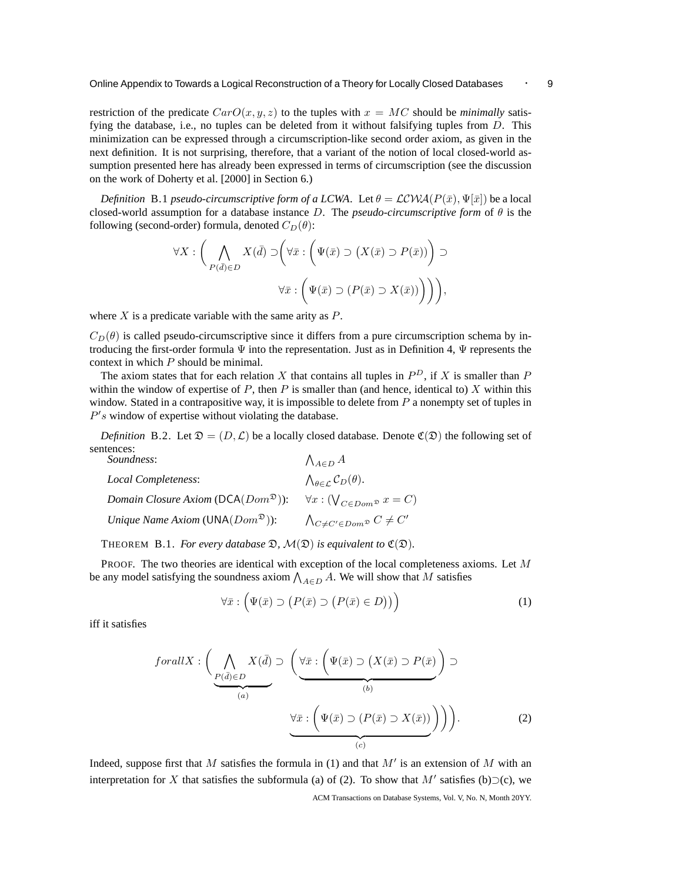restriction of the predicate  $CarO(x, y, z)$  to the tuples with  $x = MC$  should be *minimally* satisfying the database, i.e., no tuples can be deleted from it without falsifying tuples from  $D$ . This minimization can be expressed through a circumscription-like second order axiom, as given in the next definition. It is not surprising, therefore, that a variant of the notion of local closed-world assumption presented here has already been expressed in terms of circumscription (see the discussion on the work of Doherty et al. [2000] in Section 6.)

*Definition* B.1 *pseudo-circumscriptive form of a LCWA*. Let  $\theta = \mathcal{LCWA}(P(\bar{x}), \Psi[\bar{x}])$  be a local closed-world assumption for a database instance D. The *pseudo-circumscriptive form* of θ is the following (second-order) formula, denoted  $C_D(\theta)$ :

$$
\forall X : \left( \bigwedge_{P(\bar{d}) \in D} X(\bar{d}) \supset \left( \forall \bar{x} : \left( \Psi(\bar{x}) \supset (X(\bar{x}) \supset P(\bar{x})) \right) \supset \right) \right)
$$
  

$$
\forall \bar{x} : \left( \Psi(\bar{x}) \supset (P(\bar{x}) \supset X(\bar{x})) \right) \right),
$$

where  $X$  is a predicate variable with the same arity as  $P$ .

 $C_D(\theta)$  is called pseudo-circumscriptive since it differs from a pure circumscription schema by introducing the first-order formula  $\Psi$  into the representation. Just as in Definition 4,  $\Psi$  represents the context in which P should be minimal.

The axiom states that for each relation X that contains all tuples in  $P^D$ , if X is smaller than P within the window of expertise of  $P$ , then  $P$  is smaller than (and hence, identical to)  $X$  within this window. Stated in a contrapositive way, it is impossible to delete from  $P$  a nonempty set of tuples in  $P's$  window of expertise without violating the database.

*Definition* B.2. Let  $\mathfrak{D} = (D, \mathcal{L})$  be a locally closed database. Denote  $\mathfrak{C}(\mathfrak{D})$  the following set of sentences:

| Soundness:                                                   | $\bigwedge_{A\in D} A$                                      |
|--------------------------------------------------------------|-------------------------------------------------------------|
| Local Completeness:                                          | $\bigwedge_{\theta \in \mathcal{L}} \mathcal{C}_D(\theta).$ |
| Domain Closure Axiom ( $\mathsf{DCA}(Dom^{\mathfrak{D}})$ ): | $\forall x: (\bigvee_{C \in Dom \mathfrak{D}} x = C)$       |
| Unique Name Axiom ( $UNA(Dom^{\mathfrak{D}})$ ):             | $\bigwedge_{C \neq C' \in Dom \mathfrak{D}} C \neq C'$      |

THEOREM B.1. *For every database*  $\mathfrak{D}$ *,*  $\mathcal{M}(\mathfrak{D})$  *is equivalent to*  $\mathfrak{C}(\mathfrak{D})$ *.* 

PROOF. The two theories are identical with exception of the local completeness axioms. Let M be any model satisfying the soundness axiom  $\bigwedge_{A \in D} A$ . We will show that M satisfies

$$
\forall \bar{x} : \left( \Psi(\bar{x}) \supset \left( P(\bar{x}) \supset \left( P(\bar{x}) \in D \right) \right) \right) \tag{1}
$$

iff it satisfies

$$
for all X: \left(\bigwedge_{\substack{P(\bar{d}) \in D \\ (a)}} X(\bar{d}) \supset \left(\underbrace{\forall \bar{x}: \left(\Psi(\bar{x}) \supset (X(\bar{x}) \supset P(\bar{x})) \right)}_{(b)} \supset \left(\underbrace{\forall \bar{x}: \left(\Psi(\bar{x}) \supset (P(\bar{x}) \supset X(\bar{x})) \right)}_{(c)} \right) \right).
$$
\n(2)

Indeed, suppose first that M satisfies the formula in (1) and that  $M'$  is an extension of M with an interpretation for X that satisfies the subformula (a) of (2). To show that M' satisfies (b)⊃(c), we ACM Transactions on Database Systems, Vol. V, No. N, Month 20YY.